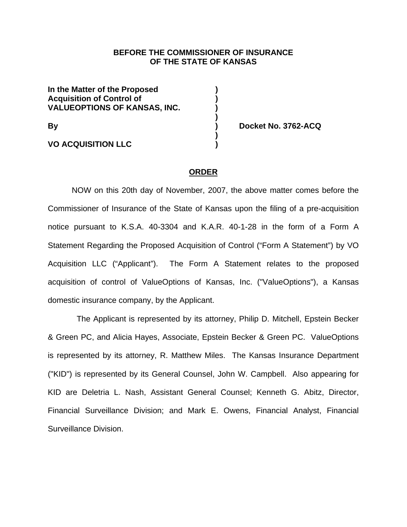## **BEFORE THE COMMISSIONER OF INSURANCE OF THE STATE OF KANSAS**

**In the Matter of the Proposed ) Acquisition of Control of ) VALUEOPTIONS OF KANSAS, INC. ) )** 

 **)** 

**VO ACQUISITION LLC )** 

**By ) Docket No. 3762-ACQ** 

#### **ORDER**

NOW on this 20th day of November, 2007, the above matter comes before the Commissioner of Insurance of the State of Kansas upon the filing of a pre-acquisition notice pursuant to K.S.A. 40-3304 and K.A.R. 40-1-28 in the form of a Form A Statement Regarding the Proposed Acquisition of Control ("Form A Statement") by VO Acquisition LLC ("Applicant"). The Form A Statement relates to the proposed acquisition of control of ValueOptions of Kansas, Inc. ("ValueOptions"), a Kansas domestic insurance company, by the Applicant.

 The Applicant is represented by its attorney, Philip D. Mitchell, Epstein Becker & Green PC, and Alicia Hayes, Associate, Epstein Becker & Green PC. ValueOptions is represented by its attorney, R. Matthew Miles. The Kansas Insurance Department ("KID") is represented by its General Counsel, John W. Campbell. Also appearing for KID are Deletria L. Nash, Assistant General Counsel; Kenneth G. Abitz, Director, Financial Surveillance Division; and Mark E. Owens, Financial Analyst, Financial Surveillance Division.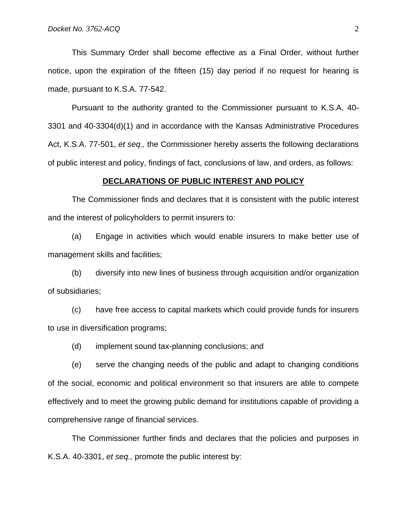This Summary Order shall become effective as a Final Order, without further notice, upon the expiration of the fifteen (15) day period if no request for hearing is made, pursuant to K.S.A. 77-542.

Pursuant to the authority granted to the Commissioner pursuant to K.S.A. 40- 3301 and 40-3304(d)(1) and in accordance with the Kansas Administrative Procedures Act, K.S.A. 77-501, *et seq.,* the Commissioner hereby asserts the following declarations of public interest and policy, findings of fact, conclusions of law, and orders, as follows:

#### **DECLARATIONS OF PUBLIC INTEREST AND POLICY**

 The Commissioner finds and declares that it is consistent with the public interest and the interest of policyholders to permit insurers to:

(a) Engage in activities which would enable insurers to make better use of management skills and facilities;

(b) diversify into new lines of business through acquisition and/or organization of subsidiaries;

(c) have free access to capital markets which could provide funds for insurers to use in diversification programs;

(d) implement sound tax-planning conclusions; and

(e) serve the changing needs of the public and adapt to changing conditions of the social, economic and political environment so that insurers are able to compete effectively and to meet the growing public demand for institutions capable of providing a comprehensive range of financial services.

The Commissioner further finds and declares that the policies and purposes in K.S.A. 40-3301, *et seq.,* promote the public interest by: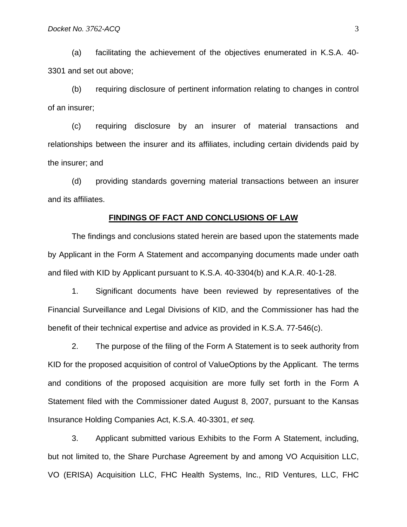(a) facilitating the achievement of the objectives enumerated in K.S.A. 40- 3301 and set out above;

(b) requiring disclosure of pertinent information relating to changes in control of an insurer;

(c) requiring disclosure by an insurer of material transactions and relationships between the insurer and its affiliates, including certain dividends paid by the insurer; and

(d) providing standards governing material transactions between an insurer and its affiliates.

#### **FINDINGS OF FACT AND CONCLUSIONS OF LAW**

The findings and conclusions stated herein are based upon the statements made by Applicant in the Form A Statement and accompanying documents made under oath and filed with KID by Applicant pursuant to K.S.A. 40-3304(b) and K.A.R. 40-1-28.

1. Significant documents have been reviewed by representatives of the Financial Surveillance and Legal Divisions of KID, and the Commissioner has had the benefit of their technical expertise and advice as provided in K.S.A. 77-546(c).

 2. The purpose of the filing of the Form A Statement is to seek authority from KID for the proposed acquisition of control of ValueOptions by the Applicant. The terms and conditions of the proposed acquisition are more fully set forth in the Form A Statement filed with the Commissioner dated August 8, 2007, pursuant to the Kansas Insurance Holding Companies Act, K.S.A. 40-3301, *et seq.*

 3. Applicant submitted various Exhibits to the Form A Statement, including, but not limited to, the Share Purchase Agreement by and among VO Acquisition LLC, VO (ERISA) Acquisition LLC, FHC Health Systems, Inc., RID Ventures, LLC, FHC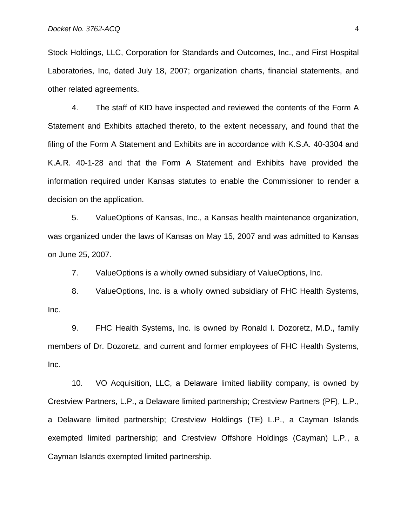Stock Holdings, LLC, Corporation for Standards and Outcomes, Inc., and First Hospital Laboratories, Inc, dated July 18, 2007; organization charts, financial statements, and other related agreements.

4. The staff of KID have inspected and reviewed the contents of the Form A Statement and Exhibits attached thereto, to the extent necessary, and found that the filing of the Form A Statement and Exhibits are in accordance with K.S.A. 40-3304 and K.A.R. 40-1-28 and that the Form A Statement and Exhibits have provided the information required under Kansas statutes to enable the Commissioner to render a decision on the application.

5. ValueOptions of Kansas, Inc., a Kansas health maintenance organization, was organized under the laws of Kansas on May 15, 2007 and was admitted to Kansas on June 25, 2007.

7. ValueOptions is a wholly owned subsidiary of ValueOptions, Inc.

8. ValueOptions, Inc. is a wholly owned subsidiary of FHC Health Systems, Inc.

9. FHC Health Systems, Inc. is owned by Ronald I. Dozoretz, M.D., family members of Dr. Dozoretz, and current and former employees of FHC Health Systems, Inc.

10. VO Acquisition, LLC, a Delaware limited liability company, is owned by Crestview Partners, L.P., a Delaware limited partnership; Crestview Partners (PF), L.P., a Delaware limited partnership; Crestview Holdings (TE) L.P., a Cayman Islands exempted limited partnership; and Crestview Offshore Holdings (Cayman) L.P., a Cayman Islands exempted limited partnership.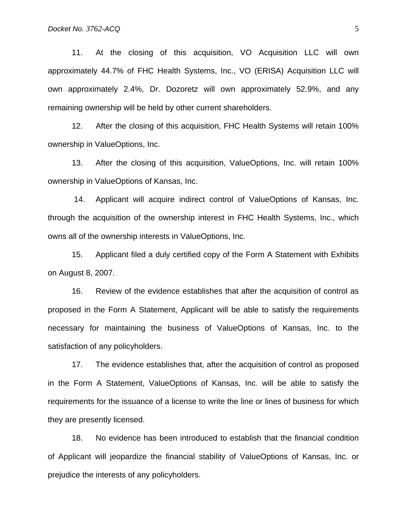11. At the closing of this acquisition, VO Acquisition LLC will own approximately 44.7% of FHC Health Systems, Inc., VO (ERISA) Acquisition LLC will own approximately 2.4%, Dr. Dozoretz will own approximately 52.9%, and any remaining ownership will be held by other current shareholders.

12. After the closing of this acquisition, FHC Health Systems will retain 100% ownership in ValueOptions, Inc.

13. After the closing of this acquisition, ValueOptions, Inc. will retain 100% ownership in ValueOptions of Kansas, Inc.

 14. Applicant will acquire indirect control of ValueOptions of Kansas, Inc. through the acquisition of the ownership interest in FHC Health Systems, Inc., which owns all of the ownership interests in ValueOptions, Inc.

15. Applicant filed a duly certified copy of the Form A Statement with Exhibits on August 8, 2007.

16. Review of the evidence establishes that after the acquisition of control as proposed in the Form A Statement, Applicant will be able to satisfy the requirements necessary for maintaining the business of ValueOptions of Kansas, Inc. to the satisfaction of any policyholders.

17. The evidence establishes that, after the acquisition of control as proposed in the Form A Statement, ValueOptions of Kansas, Inc. will be able to satisfy the requirements for the issuance of a license to write the line or lines of business for which they are presently licensed.

18. No evidence has been introduced to establish that the financial condition of Applicant will jeopardize the financial stability of ValueOptions of Kansas, Inc. or prejudice the interests of any policyholders.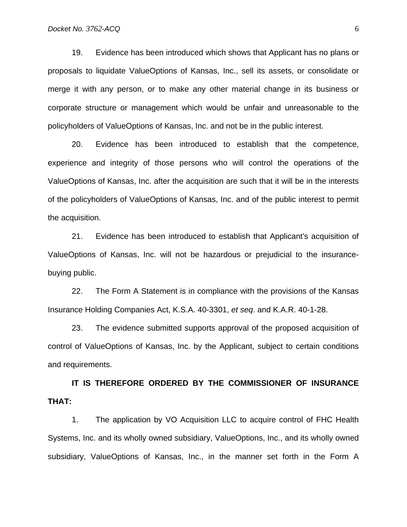19. Evidence has been introduced which shows that Applicant has no plans or proposals to liquidate ValueOptions of Kansas, Inc., sell its assets, or consolidate or merge it with any person, or to make any other material change in its business or corporate structure or management which would be unfair and unreasonable to the policyholders of ValueOptions of Kansas, Inc. and not be in the public interest.

20. Evidence has been introduced to establish that the competence, experience and integrity of those persons who will control the operations of the ValueOptions of Kansas, Inc. after the acquisition are such that it will be in the interests of the policyholders of ValueOptions of Kansas, Inc. and of the public interest to permit the acquisition.

21. Evidence has been introduced to establish that Applicant's acquisition of ValueOptions of Kansas, Inc. will not be hazardous or prejudicial to the insurancebuying public.

22. The Form A Statement is in compliance with the provisions of the Kansas Insurance Holding Companies Act, K.S.A. 40-3301, *et seq*. and K.A.R. 40-1-28.

23. The evidence submitted supports approval of the proposed acquisition of control of ValueOptions of Kansas, Inc. by the Applicant, subject to certain conditions and requirements.

**IT IS THEREFORE ORDERED BY THE COMMISSIONER OF INSURANCE THAT:** 

 1. The application by VO Acquisition LLC to acquire control of FHC Health Systems, Inc. and its wholly owned subsidiary, ValueOptions, Inc., and its wholly owned subsidiary, ValueOptions of Kansas, Inc., in the manner set forth in the Form A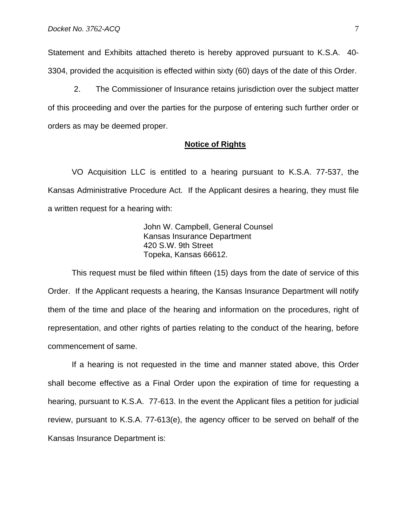Statement and Exhibits attached thereto is hereby approved pursuant to K.S.A. 40- 3304, provided the acquisition is effected within sixty (60) days of the date of this Order.

 2. The Commissioner of Insurance retains jurisdiction over the subject matter of this proceeding and over the parties for the purpose of entering such further order or orders as may be deemed proper.

#### **Notice of Rights**

 VO Acquisition LLC is entitled to a hearing pursuant to K.S.A. 77-537, the Kansas Administrative Procedure Act. If the Applicant desires a hearing, they must file a written request for a hearing with:

> John W. Campbell, General Counsel Kansas Insurance Department 420 S.W. 9th Street Topeka, Kansas 66612.

 This request must be filed within fifteen (15) days from the date of service of this Order. If the Applicant requests a hearing, the Kansas Insurance Department will notify them of the time and place of the hearing and information on the procedures, right of representation, and other rights of parties relating to the conduct of the hearing, before commencement of same.

 If a hearing is not requested in the time and manner stated above, this Order shall become effective as a Final Order upon the expiration of time for requesting a hearing, pursuant to K.S.A. 77-613. In the event the Applicant files a petition for judicial review, pursuant to K.S.A. 77-613(e), the agency officer to be served on behalf of the Kansas Insurance Department is: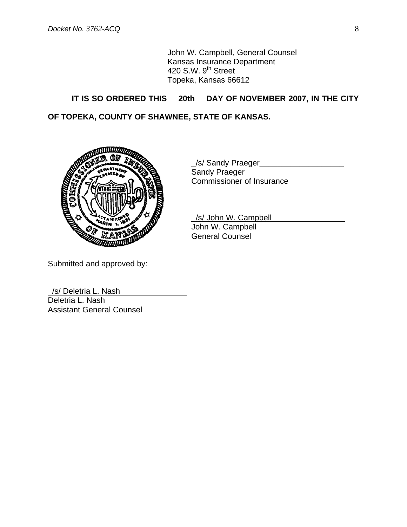John W. Campbell, General Counsel Kansas Insurance Department  $420$  S.W.  $9<sup>th</sup>$  Street Topeka, Kansas 66612

# **IT IS SO ORDERED THIS \_\_20th\_\_ DAY OF NOVEMBER 2007, IN THE CITY**

## **OF TOPEKA, COUNTY OF SHAWNEE, STATE OF KANSAS.**



\_/s/ Sandy Praeger\_\_\_\_\_\_\_\_\_\_\_\_\_\_\_\_\_\_\_ Sandy Praeger Commissioner of Insurance

\_/s/ John W. Campbell John W. Campbell General Counsel

Submitted and approved by:

\_/s/ Deletria L. Nash\_\_\_\_\_\_\_\_\_\_\_\_\_\_\_ Deletria L. Nash Assistant General Counsel